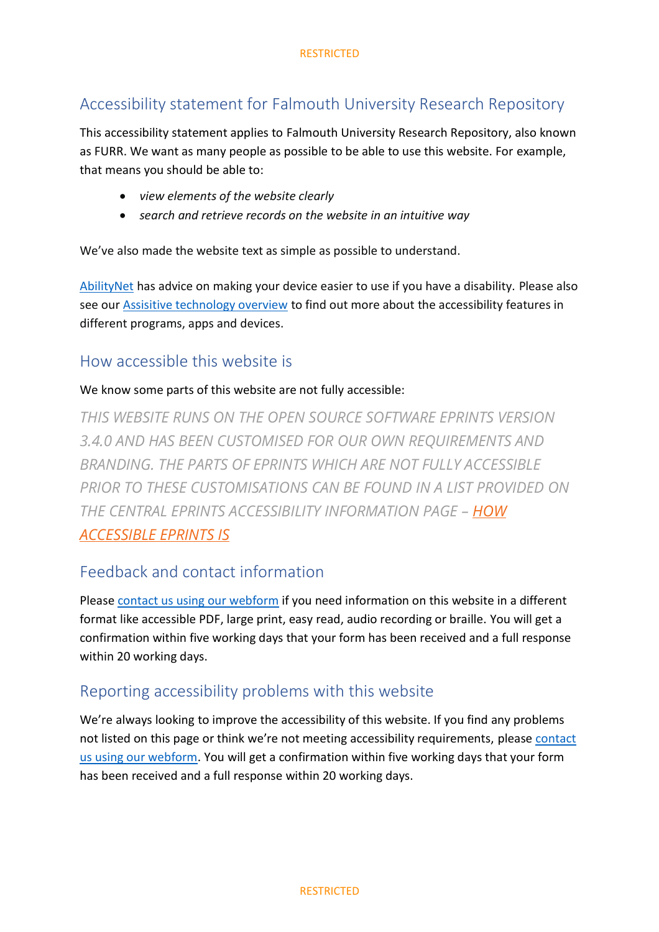## Accessibility statement for Falmouth University Research Repository

This accessibility statement applies to Falmouth University Research Repository, also known as FURR. We want as many people as possible to be able to use this website. For example, that means you should be able to:

- *view elements of the website clearly*
- *search and retrieve records on the website in an intuitive way*

We've also made the website text as simple as possible to understand.

[AbilityNet](https://mcmw.abilitynet.org.uk/) has advice on making your device easier to use if you have a disability. Please also see our [Assisitive technology overview](https://studyhub.fxplus.ac.uk/technology-study/assistive-technology-overview) to find out more about the accessibility features in different programs, apps and devices.

#### How accessible this website is

#### We know some parts of this website are not fully accessible:

*THIS WEBSITE RUNS ON THE OPEN SOURCE SOFTWARE EPRINTS VERSION 3.4.0 AND HAS BEEN CUSTOMISED FOR OUR OWN REQUIREMENTS AND BRANDING. THE PARTS OF EPRINTS WHICH ARE NOT FULLY ACCESSIBLE PRIOR TO THESE CUSTOMISATIONS CAN BE FOUND IN A LIST PROVIDED ON THE CENTRAL EPRINTS ACCESSIBILITY INFORMATION PAGE – HOW [ACCESSIBLE EPRINTS IS](https://www.eprints.org/uk/index.php/software/accessibility/how-accessible-eprints-is/)*

#### Feedback and contact information

Please [contact us using our webform](https://forms.office.com/Pages/ResponsePage.aspx?id=s-4LVT1qRkahEfidAXd5LlLWE2kd7M1Imwn0ABOKow1UMklLWjdEMU5XMDBXRTYyVlBYN0ZJNTdMNy4u) if you need information on this website in a different format like accessible PDF, large print, easy read, audio recording or braille. You will get a confirmation within five working days that your form has been received and a full response within 20 working days.

## Reporting accessibility problems with this website

We're always looking to improve the accessibility of this website. If you find any problems not listed on this page or think we're not meeting accessibility requirements, please [contact](https://forms.office.com/Pages/ResponsePage.aspx?id=s-4LVT1qRkahEfidAXd5LlLWE2kd7M1Imwn0ABOKow1UMklLWjdEMU5XMDBXRTYyVlBYN0ZJNTdMNy4u)  [us using our webform.](https://forms.office.com/Pages/ResponsePage.aspx?id=s-4LVT1qRkahEfidAXd5LlLWE2kd7M1Imwn0ABOKow1UMklLWjdEMU5XMDBXRTYyVlBYN0ZJNTdMNy4u) You will get a confirmation within five working days that your form has been received and a full response within 20 working days.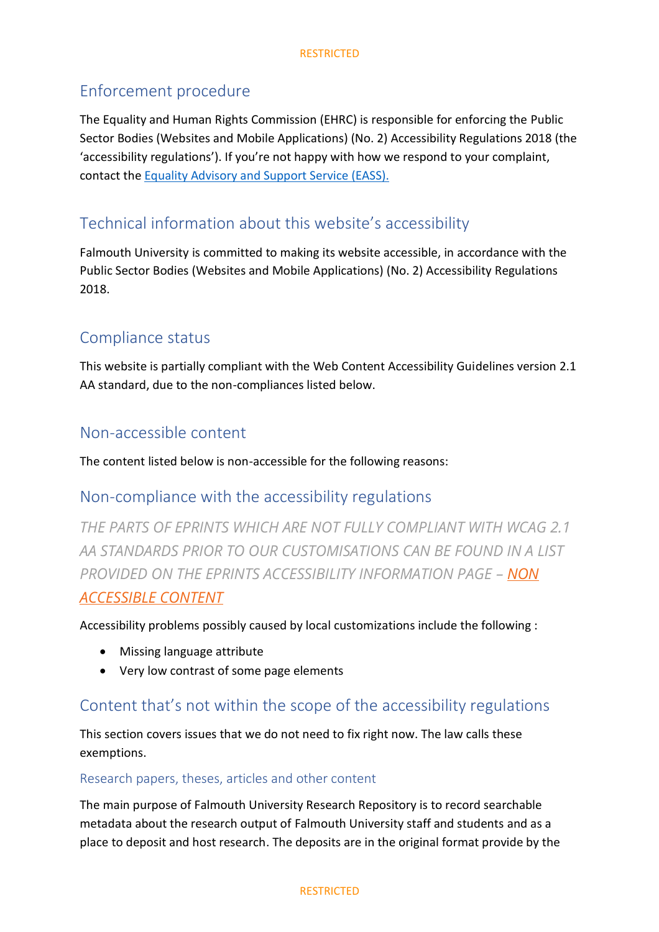## Enforcement procedure

The Equality and Human Rights Commission (EHRC) is responsible for enforcing the Public Sector Bodies (Websites and Mobile Applications) (No. 2) Accessibility Regulations 2018 (the 'accessibility regulations'). If you're not happy with how we respond to your complaint, contact the [Equality Advisory and Support Service \(EASS\).](https://www.equalityadvisoryservice.com/)

# Technical information about this website's accessibility

Falmouth University is committed to making its website accessible, in accordance with the Public Sector Bodies (Websites and Mobile Applications) (No. 2) Accessibility Regulations 2018.

## Compliance status

This website is partially compliant with the Web Content Accessibility Guidelines version 2.1 AA standard, due to the non-compliances listed below.

## Non-accessible content

The content listed below is non-accessible for the following reasons:

## Non-compliance with the accessibility regulations

*THE PARTS OF EPRINTS WHICH ARE NOT FULLY COMPLIANT WITH WCAG 2.1 AA STANDARDS PRIOR TO OUR CUSTOMISATIONS CAN BE FOUND IN A LIST PROVIDED ON THE EPRINTS ACCESSIBILITY INFORMATION PAGE – NON [ACCESSIBLE CONTENT](https://www.eprints.org/uk/index.php/software/accessibility/non-accessible-content/)*

Accessibility problems possibly caused by local customizations include the following :

- Missing language attribute
- Very low contrast of some page elements

## Content that's not within the scope of the accessibility regulations

This section covers issues that we do not need to fix right now. The law calls these exemptions.

#### Research papers, theses, articles and other content

The main purpose of Falmouth University Research Repository is to record searchable metadata about the research output of Falmouth University staff and students and as a place to deposit and host research. The deposits are in the original format provide by the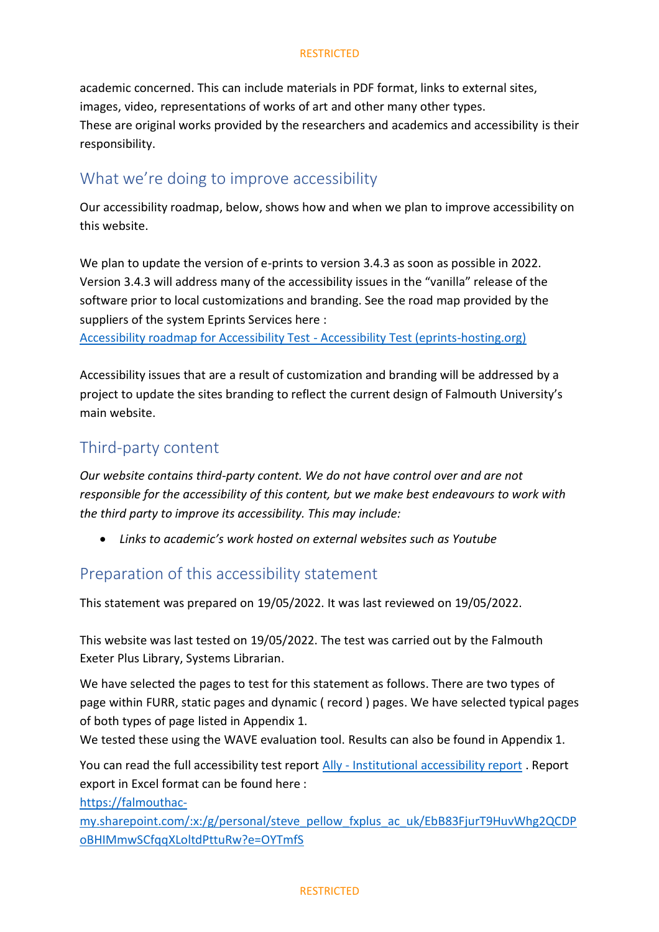#### **RESTRICTED**

academic concerned. This can include materials in PDF format, links to external sites, images, video, representations of works of art and other many other types. These are original works provided by the researchers and academics and accessibility is their responsibility.

#### What we're doing to improve accessibility

Our accessibility roadmap, below, shows how and when we plan to improve accessibility on this website.

We plan to update the version of e-prints to version 3.4.3 as soon as possible in 2022. Version 3.4.3 will address many of the accessibility issues in the "vanilla" release of the software prior to local customizations and branding. See the road map provided by the suppliers of the system Eprints Services here :

[Accessibility roadmap for Accessibility Test -](https://accessibility.eprints-hosting.org/accessibility/roadmap.html) Accessibility Test (eprints-hosting.org)

Accessibility issues that are a result of customization and branding will be addressed by a project to update the sites branding to reflect the current design of Falmouth University's main website.

#### Third-party content

*Our website contains third-party content. We do not have control over and are not responsible for the accessibility of this content, but we make best endeavours to work with the third party to improve its accessibility. This may include:*

• *Links to academic's work hosted on external websites such as Youtube*

## Preparation of this accessibility statement

This statement was prepared on 19/05/2022. It was last reviewed on 19/05/2022.

This website was last tested on 19/05/2022. The test was carried out by the Falmouth Exeter Plus Library, Systems Librarian.

We have selected the pages to test for this statement as follows. There are two types of page within FURR, static pages and dynamic ( record ) pages. We have selected typical pages of both types of page listed in Appendix 1.

We tested these using the WAVE evaluation tool. Results can also be found in Appendix 1.

You can read the full accessibility test report Ally - [Institutional accessibility report](https://prod-eu-central-1.ally.ac/report/187/courses/repository.falmouth.ac.uk?locale=en-US) . Report export in Excel format can be found here :

[https://falmouthac-](https://falmouthac-my.sharepoint.com/:x:/g/personal/steve_pellow_fxplus_ac_uk/EbB83FjurT9HuvWhg2QCDPoBHIMmwSCfqqXLoltdPttuRw?e=OYTmfS)

[my.sharepoint.com/:x:/g/personal/steve\\_pellow\\_fxplus\\_ac\\_uk/EbB83FjurT9HuvWhg2QCDP](https://falmouthac-my.sharepoint.com/:x:/g/personal/steve_pellow_fxplus_ac_uk/EbB83FjurT9HuvWhg2QCDPoBHIMmwSCfqqXLoltdPttuRw?e=OYTmfS) [oBHIMmwSCfqqXLoltdPttuRw?e=OYTmfS](https://falmouthac-my.sharepoint.com/:x:/g/personal/steve_pellow_fxplus_ac_uk/EbB83FjurT9HuvWhg2QCDPoBHIMmwSCfqqXLoltdPttuRw?e=OYTmfS)